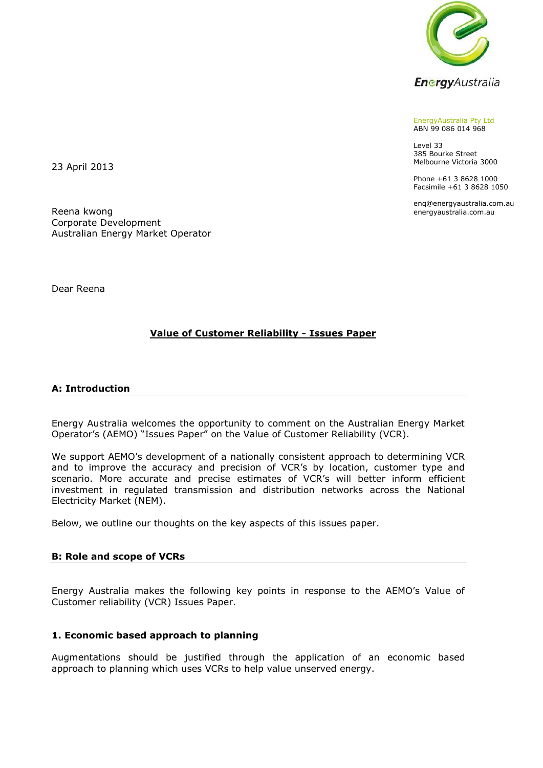

EnergyAustralia Pty Ltd ABN 99 086 014 968

Level 33 385 Bourke Street Melbourne Victoria 3000

Phone +61 3 8628 1000 Facsimile +61 3 8628 1050

enq@energyaustralia.com.au energyaustralia.com.au

23 April 2013

Reena kwong Corporate Development Australian Energy Market Operator

Dear Reena

# **Value of Customer Reliability - Issues Paper**

### **A: Introduction**

Energy Australia welcomes the opportunity to comment on the Australian Energy Market Operator's (AEMO) "Issues Paper" on the Value of Customer Reliability (VCR).

We support AEMO's development of a nationally consistent approach to determining VCR and to improve the accuracy and precision of VCR's by location, customer type and scenario. More accurate and precise estimates of VCR's will better inform efficient investment in regulated transmission and distribution networks across the National Electricity Market (NEM).

Below, we outline our thoughts on the key aspects of this issues paper.

### **B: Role and scope of VCRs**

Energy Australia makes the following key points in response to the AEMO's Value of Customer reliability (VCR) Issues Paper.

### **1. Economic based approach to planning**

Augmentations should be justified through the application of an economic based approach to planning which uses VCRs to help value unserved energy.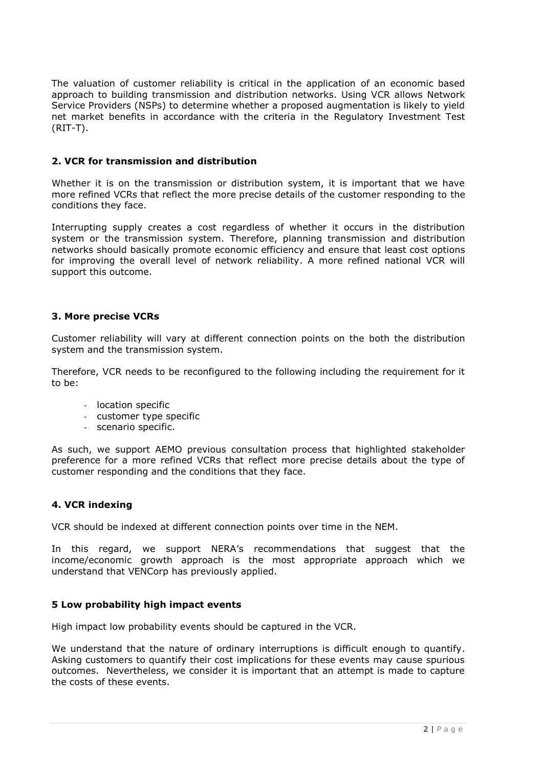The valuation of customer reliability is critical in the application of an economic based approach to building transmission and distribution networks. Using VCR allows Network Service Providers (NSPs) to determine whether a proposed augmentation is likely to yield net market benefits in accordance with the criteria in the Regulatory Investment Test (RIT-T).

### **2. VCR for transmission and distribution**

Whether it is on the transmission or distribution system, it is important that we have more refined VCRs that reflect the more precise details of the customer responding to the conditions they face.

Interrupting supply creates a cost regardless of whether it occurs in the distribution system or the transmission system. Therefore, planning transmission and distribution networks should basically promote economic efficiency and ensure that least cost options for improving the overall level of network reliability. A more refined national VCR will support this outcome.

### **3. More precise VCRs**

Customer reliability will vary at different connection points on the both the distribution system and the transmission system.

Therefore, VCR needs to be reconfigured to the following including the requirement for it to be:

- location specific
- customer type specific
- scenario specific.

As such, we support AEMO previous consultation process that highlighted stakeholder preference for a more refined VCRs that reflect more precise details about the type of customer responding and the conditions that they face.

### **4. VCR indexing**

VCR should be indexed at different connection points over time in the NEM.

In this regard, we support NERA's recommendations that suggest that the income/economic growth approach is the most appropriate approach which we understand that VENCorp has previously applied.

### **5 Low probability high impact events**

High impact low probability events should be captured in the VCR.

We understand that the nature of ordinary interruptions is difficult enough to quantify. Asking customers to quantify their cost implications for these events may cause spurious outcomes. Nevertheless, we consider it is important that an attempt is made to capture the costs of these events.